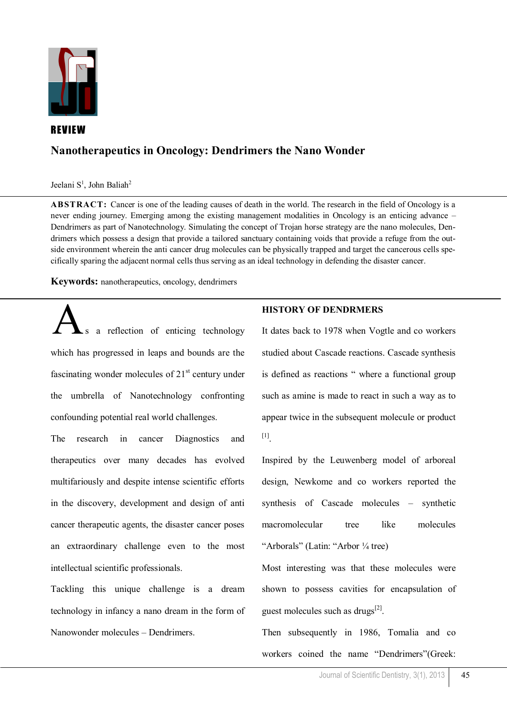

## REVIEW

## **Nanotherapeutics in Oncology: Dendrimers the Nano Wonder**

Jeelani S<sup>1</sup>, John Baliah<sup>2</sup>

**ABSTRACT:** Cancer is one of the leading causes of death in the world. The research in the field of Oncology is a never ending journey. Emerging among the existing management modalities in Oncology is an enticing advance – Dendrimers as part of Nanotechnology. Simulating the concept of Trojan horse strategy are the nano molecules, Dendrimers which possess a design that provide a tailored sanctuary containing voids that provide a refuge from the outside environment wherein the anti cancer drug molecules can be physically trapped and target the cancerous cells specifically sparing the adjacent normal cells thus serving as an ideal technology in defending the disaster cancer.

**Keywords:** nanotherapeutics, oncology, dendrimers

a reflection of enticing technology which has progressed in leaps and bounds are the fascinating wonder molecules of  $21<sup>st</sup>$  century under the umbrella of Nanotechnology confronting confounding potential real world challenges.

The research in cancer Diagnostics and therapeutics over many decades has evolved multifariously and despite intense scientific efforts in the discovery, development and design of anti cancer therapeutic agents, the disaster cancer poses an extraordinary challenge even to the most intellectual scientific professionals.

Tackling this unique challenge is a dream technology in infancy a nano dream in the form of Nanowonder molecules – Dendrimers.

### **HISTORY OF DENDRMERS**

It dates back to 1978 when Vogtle and co workers studied about Cascade reactions. Cascade synthesis is defined as reactions " where a functional group such as amine is made to react in such a way as to appear twice in the subsequent molecule or product [1] .

Inspired by the Leuwenberg model of arboreal design, Newkome and co workers reported the synthesis of Cascade molecules – synthetic macromolecular tree like molecules "Arborals" (Latin: "Arbor ¼ tree)

Most interesting was that these molecules were shown to possess cavities for encapsulation of guest molecules such as drugs<sup>[2]</sup>.

Then subsequently in 1986, Tomalia and co workers coined the name "Dendrimers"(Greek: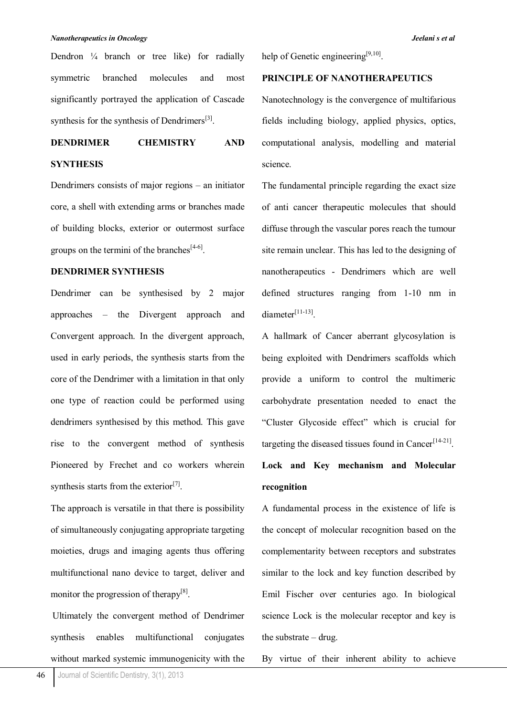#### *Nanotherapeutics in Oncology Jeelani s et al*

Dendron ¼ branch or tree like) for radially symmetric branched molecules and most significantly portrayed the application of Cascade synthesis for the synthesis of Dendrimers<sup>[3]</sup>.

# **DENDRIMER CHEMISTRY AND SYNTHESIS**

Dendrimers consists of major regions – an initiator core, a shell with extending arms or branches made of building blocks, exterior or outermost surface groups on the termini of the branches $^{[4-6]}$ .

### **DENDRIMER SYNTHESIS**

Dendrimer can be synthesised by 2 major approaches – the Divergent approach and Convergent approach. In the divergent approach, used in early periods, the synthesis starts from the core of the Dendrimer with a limitation in that only one type of reaction could be performed using dendrimers synthesised by this method. This gave rise to the convergent method of synthesis Pioneered by Frechet and co workers wherein synthesis starts from the exterior<sup>[7]</sup>.

The approach is versatile in that there is possibility of simultaneously conjugating appropriate targeting moieties, drugs and imaging agents thus offering multifunctional nano device to target, deliver and monitor the progression of therapy<sup>[8]</sup>.

Ultimately the convergent method of Dendrimer synthesis enables multifunctional conjugates without marked systemic immunogenicity with the help of Genetic engineering<sup>[9,10]</sup>.

### **PRINCIPLE OF NANOTHERAPEUTICS**

Nanotechnology is the convergence of multifarious fields including biology, applied physics, optics, computational analysis, modelling and material science.

The fundamental principle regarding the exact size of anti cancer therapeutic molecules that should diffuse through the vascular pores reach the tumour site remain unclear. This has led to the designing of nanotherapeutics - Dendrimers which are well defined structures ranging from 1-10 nm in diameter<sup>[11-13]</sup>.

A hallmark of Cancer aberrant glycosylation is being exploited with Dendrimers scaffolds which provide a uniform to control the multimeric carbohydrate presentation needed to enact the "Cluster Glycoside effect" which is crucial for targeting the diseased tissues found in Cancer<sup>[14-21]</sup>.

# **Lock and Key mechanism and Molecular recognition**

A fundamental process in the existence of life is the concept of molecular recognition based on the complementarity between receptors and substrates similar to the lock and key function described by Emil Fischer over centuries ago. In biological science Lock is the molecular receptor and key is the substrate – drug.

By virtue of their inherent ability to achieve

46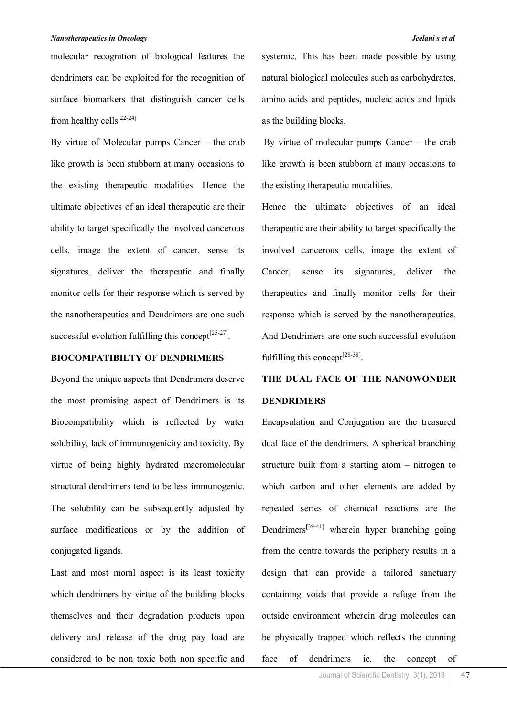molecular recognition of biological features the dendrimers can be exploited for the recognition of surface biomarkers that distinguish cancer cells from healthy cells[22-24]

By virtue of Molecular pumps Cancer – the crab like growth is been stubborn at many occasions to the existing therapeutic modalities. Hence the ultimate objectives of an ideal therapeutic are their ability to target specifically the involved cancerous cells, image the extent of cancer, sense its signatures, deliver the therapeutic and finally monitor cells for their response which is served by the nanotherapeutics and Dendrimers are one such successful evolution fulfilling this concept $^{[25-27]}$ .

### **BIOCOMPATIBILTY OF DENDRIMERS**

Beyond the unique aspects that Dendrimers deserve the most promising aspect of Dendrimers is its Biocompatibility which is reflected by water solubility, lack of immunogenicity and toxicity. By virtue of being highly hydrated macromolecular structural dendrimers tend to be less immunogenic. The solubility can be subsequently adjusted by surface modifications or by the addition of conjugated ligands.

Last and most moral aspect is its least toxicity which dendrimers by virtue of the building blocks themselves and their degradation products upon delivery and release of the drug pay load are considered to be non toxic both non specific and

systemic. This has been made possible by using natural biological molecules such as carbohydrates, amino acids and peptides, nucleic acids and lipids as the building blocks.

By virtue of molecular pumps Cancer – the crab like growth is been stubborn at many occasions to the existing therapeutic modalities.

Hence the ultimate objectives of an ideal therapeutic are their ability to target specifically the involved cancerous cells, image the extent of Cancer, sense its signatures, deliver the therapeutics and finally monitor cells for their response which is served by the nanotherapeutics. And Dendrimers are one such successful evolution fulfilling this concept<sup>[28-38]</sup>.

# **THE DUAL FACE OF THE NANOWONDER DENDRIMERS**

Encapsulation and Conjugation are the treasured dual face of the dendrimers. A spherical branching structure built from a starting atom – nitrogen to which carbon and other elements are added by repeated series of chemical reactions are the Dendrimers<sup>[39-41]</sup> wherein hyper branching going from the centre towards the periphery results in a design that can provide a tailored sanctuary containing voids that provide a refuge from the outside environment wherein drug molecules can be physically trapped which reflects the cunning face of dendrimers ie, the concept of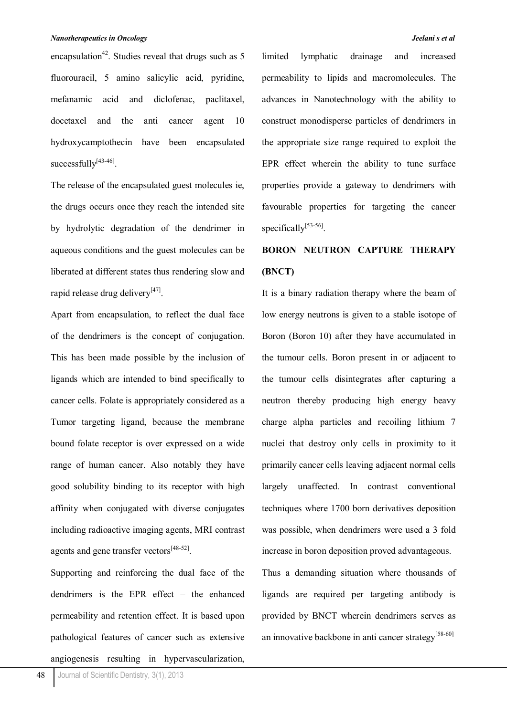encapsulation<sup>42</sup>. Studies reveal that drugs such as 5 fluorouracil, 5 amino salicylic acid, pyridine, mefanamic acid and diclofenac, paclitaxel, docetaxel and the anti cancer agent 10 hydroxycamptothecin have been encapsulated successfully<sup>[43-46]</sup>.

The release of the encapsulated guest molecules ie, the drugs occurs once they reach the intended site by hydrolytic degradation of the dendrimer in aqueous conditions and the guest molecules can be liberated at different states thus rendering slow and rapid release drug delivery<sup>[47]</sup>.

Apart from encapsulation, to reflect the dual face of the dendrimers is the concept of conjugation. This has been made possible by the inclusion of ligands which are intended to bind specifically to cancer cells. Folate is appropriately considered as a Tumor targeting ligand, because the membrane bound folate receptor is over expressed on a wide range of human cancer. Also notably they have good solubility binding to its receptor with high affinity when conjugated with diverse conjugates including radioactive imaging agents, MRI contrast agents and gene transfer vectors<sup>[48-52]</sup>.

Supporting and reinforcing the dual face of the dendrimers is the EPR effect – the enhanced permeability and retention effect. It is based upon pathological features of cancer such as extensive angiogenesis resulting in hypervascularization,

limited lymphatic drainage and increased permeability to lipids and macromolecules. The advances in Nanotechnology with the ability to construct monodisperse particles of dendrimers in the appropriate size range required to exploit the EPR effect wherein the ability to tune surface properties provide a gateway to dendrimers with favourable properties for targeting the cancer specifically<sup>[53-56]</sup>.

# **BORON NEUTRON CAPTURE THERAPY (BNCT)**

It is a binary radiation therapy where the beam of low energy neutrons is given to a stable isotope of Boron (Boron 10) after they have accumulated in the tumour cells. Boron present in or adjacent to the tumour cells disintegrates after capturing a neutron thereby producing high energy heavy charge alpha particles and recoiling lithium 7 nuclei that destroy only cells in proximity to it primarily cancer cells leaving adjacent normal cells largely unaffected. In contrast conventional techniques where 1700 born derivatives deposition was possible, when dendrimers were used a 3 fold increase in boron deposition proved advantageous.

Thus a demanding situation where thousands of ligands are required per targeting antibody is provided by BNCT wherein dendrimers serves as an innovative backbone in anti cancer strategy<sup>[58-60]</sup>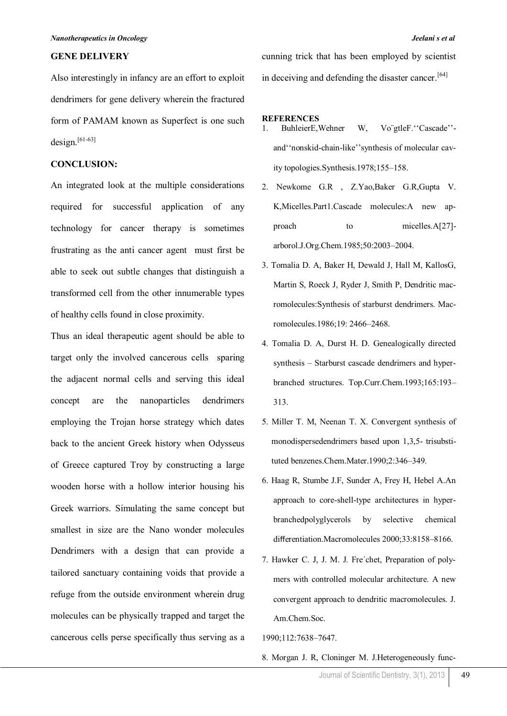#### **GENE DELIVERY**

Also interestingly in infancy are an effort to exploit dendrimers for gene delivery wherein the fractured form of PAMAM known as Superfect is one such design. $[61-63]$ 

## **CONCLUSION:**

An integrated look at the multiple considerations required for successful application of any technology for cancer therapy is sometimes frustrating as the anti cancer agent must first be able to seek out subtle changes that distinguish a transformed cell from the other innumerable types of healthy cells found in close proximity.

Thus an ideal therapeutic agent should be able to target only the involved cancerous cells sparing the adjacent normal cells and serving this ideal concept are the nanoparticles dendrimers employing the Trojan horse strategy which dates back to the ancient Greek history when Odysseus of Greece captured Troy by constructing a large wooden horse with a hollow interior housing his Greek warriors. Simulating the same concept but smallest in size are the Nano wonder molecules Dendrimers with a design that can provide a tailored sanctuary containing voids that provide a refuge from the outside environment wherein drug molecules can be physically trapped and target the cancerous cells perse specifically thus serving as a cunning trick that has been employed by scientist in deceiving and defending the disaster cancer.<sup>[64]</sup>

#### **REFERENCES**

- 1. BuhleierE, Wehner W, Vo"gtleF. "Cascade"and""nonskid-chain-like""synthesis of molecular cavity topologies.Synthesis.1978;155–158.
- 2. Newkome G.R , Z.Yao,Baker G.R,Gupta V. K,Micelles.Part1.Cascade molecules:A new approach to micelles.A[27]arborol.J.Org.Chem.1985;50:2003–2004.
- 3. Tomalia D. A, Baker H, Dewald J, Hall M, KallosG, Martin S, Roeck J, Ryder J, Smith P, Dendritic macromolecules:Synthesis of starburst dendrimers. Macromolecules.1986;19: 2466–2468.
- 4. Tomalia D. A, Durst H. D. Genealogically directed synthesis – Starburst cascade dendrimers and hyperbranched structures. Top.Curr.Chem.1993;165:193– 313.
- 5. Miller T. M, Neenan T. X. Convergent synthesis of monodispersedendrimers based upon 1,3,5- trisubstituted benzenes.Chem.Mater.1990;2:346–349.
- 6. Haag R, Stumbe J.F, Sunder A, Frey H, Hebel A.An approach to core-shell-type architectures in hyperbranchedpolyglycerols by selective chemical differentiation.Macromolecules 2000;33:8158–8166.
- 7. Hawker C. J, J. M. J. Fre´chet, Preparation of polymers with controlled molecular architecture. A new convergent approach to dendritic macromolecules. J. Am.Chem.Soc.

1990;112:7638–7647.

8. Morgan J. R, Cloninger M. J.Heterogeneously func-

Journal of Scientific Dentistry, 3(1), 2013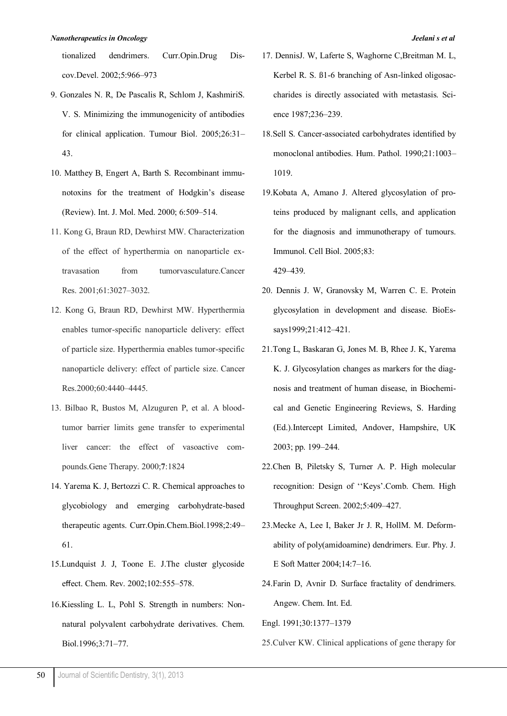tionalized dendrimers. Curr.Opin.Drug Discov.Devel. 2002;5:966–973

- 9. Gonzales N. R, De Pascalis R, Schlom J, KashmiriS. V. S. Minimizing the immunogenicity of antibodies for clinical application. Tumour Biol. 2005;26:31– 43.
- 10. Matthey B, Engert A, Barth S. Recombinant immunotoxins for the treatment of Hodgkin"s disease (Review). Int. J. Mol. Med. 2000; 6:509–514.
- 11. Kong G, Braun RD, Dewhirst MW. Characterization of the effect of hyperthermia on nanoparticle extravasation from tumorvasculature.Cancer Res. 2001;61:3027–3032.
- 12. Kong G, Braun RD, Dewhirst MW. Hyperthermia enables tumor-specific nanoparticle delivery: effect of particle size. Hyperthermia enables tumor-specific nanoparticle delivery: effect of particle size. Cancer Res.2000;60:4440–4445.
- 13. Bilbao R, Bustos M, Alzuguren P, et al. A bloodtumor barrier limits gene transfer to experimental liver cancer: the effect of vasoactive compounds.Gene Therapy. 2000;**7**:1824
- 14. Yarema K. J, Bertozzi C. R. Chemical approaches to glycobiology and emerging carbohydrate-based therapeutic agents. Curr.Opin.Chem.Biol.1998;2:49– 61.
- 15.Lundquist J. J, Toone E. J.The cluster glycoside effect. Chem. Rev. 2002;102:555–578.
- 16.Kiessling L. L, Pohl S. Strength in numbers: Nonnatural polyvalent carbohydrate derivatives. Chem. Biol.1996;3:71–77.
- 17. DennisJ. W, Laferte S, Waghorne C,Breitman M. L, Kerbel R. S. ß1-6 branching of Asn-linked oligosaccharides is directly associated with metastasis. Science 1987;236–239.
- 18.Sell S. Cancer-associated carbohydrates identified by monoclonal antibodies. Hum. Pathol. 1990;21:1003– 1019.
- 19.Kobata A, Amano J. Altered glycosylation of proteins produced by malignant cells, and application for the diagnosis and immunotherapy of tumours. Immunol. Cell Biol. 2005;83: 429–439.
- 20. Dennis J. W, Granovsky M, Warren C. E. Protein glycosylation in development and disease. BioEssays1999;21:412–421.
- 21.Tong L, Baskaran G, Jones M. B, Rhee J. K, Yarema K. J. Glycosylation changes as markers for the diagnosis and treatment of human disease, in Biochemical and Genetic Engineering Reviews, S. Harding (Ed.).Intercept Limited, Andover, Hampshire, UK 2003; pp. 199–244.
- 22.Chen B, Piletsky S, Turner A. P. High molecular recognition: Design of ""Keys".Comb. Chem. High Throughput Screen. 2002;5:409–427.
- 23.Mecke A, Lee I, Baker Jr J. R, HollM. M. Deformability of poly(amidoamine) dendrimers. Eur. Phy. J. E Soft Matter 2004;14:7–16.
- 24.Farin D, Avnir D. Surface fractality of dendrimers. Angew. Chem. Int. Ed.

Engl. 1991;30:1377–1379

25.Culver KW. Clinical applications of gene therapy for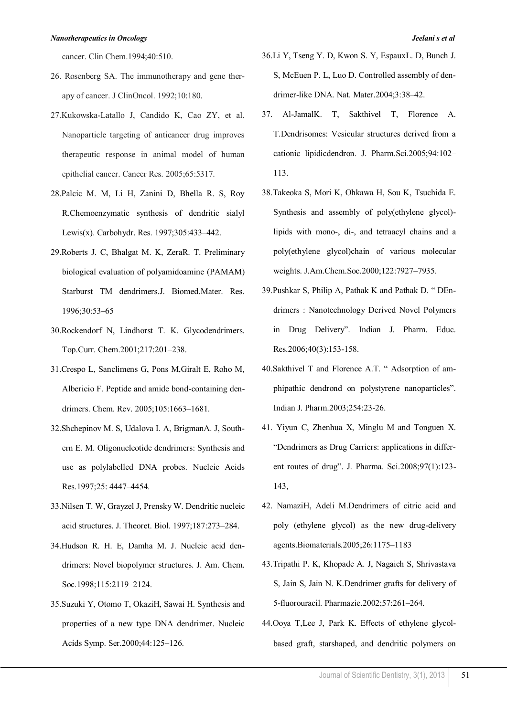cancer. Clin Chem.1994;40:510.

- 26. Rosenberg SA. The immunotherapy and gene therapy of cancer. J ClinOncol. 1992;10:180.
- 27.Kukowska-Latallo J, Candido K, Cao ZY, et al. Nanoparticle targeting of anticancer drug improves therapeutic response in animal model of human epithelial cancer. Cancer Res. 2005;65:5317.
- 28.Palcic M. M, Li H, Zanini D, Bhella R. S, Roy R.Chemoenzymatic synthesis of dendritic sialyl Lewis(x). Carbohydr. Res. 1997;305:433–442.
- 29.Roberts J. C, Bhalgat M. K, ZeraR. T. Preliminary biological evaluation of polyamidoamine (PAMAM) Starburst TM dendrimers.J. Biomed.Mater. Res. 1996;30:53–65
- 30.Rockendorf N, Lindhorst T. K. Glycodendrimers. Top.Curr. Chem.2001;217:201–238.
- 31.Crespo L, Sanclimens G, Pons M,Giralt E, Roho M, Albericio F. Peptide and amide bond-containing dendrimers. Chem. Rev. 2005;105:1663–1681.
- 32.Shchepinov M. S, Udalova I. A, BrigmanA. J, Southern E. M. Oligonucleotide dendrimers: Synthesis and use as polylabelled DNA probes. Nucleic Acids Res.1997;25: 4447–4454.
- 33.Nilsen T. W, Grayzel J, Prensky W. Dendritic nucleic acid structures. J. Theoret. Biol. 1997;187:273–284.
- 34.Hudson R. H. E, Damha M. J. Nucleic acid dendrimers: Novel biopolymer structures. J. Am. Chem. Soc.1998;115:2119–2124.
- 35.Suzuki Y, Otomo T, OkaziH, Sawai H. Synthesis and properties of a new type DNA dendrimer. Nucleic Acids Symp. Ser.2000;44:125–126.
- 36.Li Y, Tseng Y. D, Kwon S. Y, EspauxL. D, Bunch J. S, McEuen P. L, Luo D. Controlled assembly of dendrimer-like DNA. Nat. Mater.2004;3:38–42.
- 37. Al-JamalK. T, Sakthivel T, Florence A. T.Dendrisomes: Vesicular structures derived from a cationic lipidicdendron. J. Pharm.Sci.2005;94:102– 113.
- 38.Takeoka S, Mori K, Ohkawa H, Sou K, Tsuchida E. Synthesis and assembly of poly(ethylene glycol) lipids with mono-, di-, and tetraacyl chains and a poly(ethylene glycol)chain of various molecular weights. J.Am.Chem.Soc.2000;122:7927–7935.
- 39.Pushkar S, Philip A, Pathak K and Pathak D. " DEndrimers : Nanotechnology Derived Novel Polymers in Drug Delivery". Indian J. Pharm. Educ. Res.2006;40(3):153-158.
- 40.Sakthivel T and Florence A.T. " Adsorption of amphipathic dendrond on polystyrene nanoparticles". Indian J. Pharm.2003;254:23-26.
- 41. Yiyun C, Zhenhua X, Minglu M and Tonguen X. "Dendrimers as Drug Carriers: applications in different routes of drug". J. Pharma. Sci.2008;97(1):123- 143,
- 42. NamaziH, Adeli M.Dendrimers of citric acid and poly (ethylene glycol) as the new drug-delivery agents.Biomaterials.2005;26:1175–1183
- 43.Tripathi P. K, Khopade A. J, Nagaich S, Shrivastava S, Jain S, Jain N. K.Dendrimer grafts for delivery of 5-fluorouracil. Pharmazie.2002;57:261–264.
- 44.Ooya T,Lee J, Park K. Effects of ethylene glycolbased graft, starshaped, and dendritic polymers on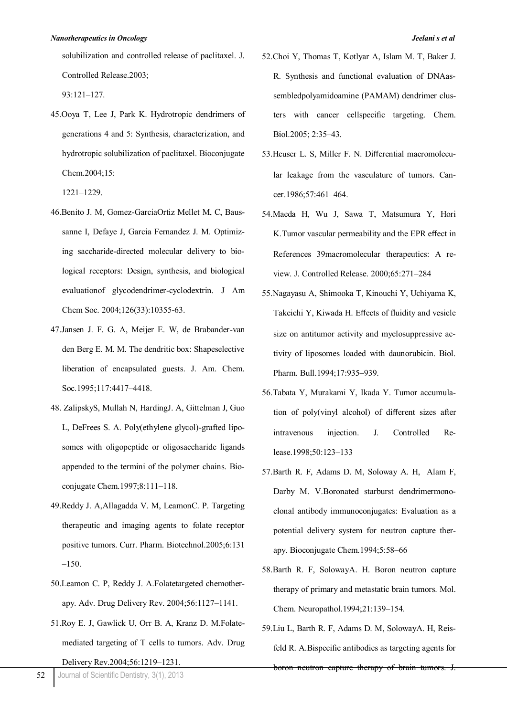solubilization and controlled release of paclitaxel. J. Controlled Release.2003;

93:121–127.

45.Ooya T, Lee J, Park K. Hydrotropic dendrimers of generations 4 and 5: Synthesis, characterization, and hydrotropic solubilization of paclitaxel. Bioconjugate Chem.2004;15:

1221–1229.

- 46.Benito J. M, Gomez-GarciaOrtiz Mellet M, C, Baussanne I, Defaye J, Garcia Fernandez J. M. Optimizing saccharide-directed molecular delivery to biological receptors: Design, synthesis, and biological evaluationof glycodendrimer-cyclodextrin. [J Am](http://www.ncbi.nlm.nih.gov/pubmed/15315450)  [Chem Soc.](http://www.ncbi.nlm.nih.gov/pubmed/15315450) 2004;126(33):10355-63.
- 47.Jansen J. F. G. A, Meijer E. W, de Brabander-van den Berg E. M. M. The dendritic box: Shapeselective liberation of encapsulated guests. J. Am. Chem. Soc.1995;117:4417–4418.
- 48. ZalipskyS, Mullah N, HardingJ. A, Gittelman J, Guo L, DeFrees S. A. Poly(ethylene glycol)-grafted liposomes with oligopeptide or oligosaccharide ligands appended to the termini of the polymer chains. Bioconjugate Chem.1997;8:111–118.
- 49.Reddy J. A,Allagadda V. M, LeamonC. P. Targeting therapeutic and imaging agents to folate receptor positive tumors. Curr. Pharm. Biotechnol.2005;6:131  $-150.$
- 50.Leamon C. P, Reddy J. A.Folatetargeted chemotherapy. Adv. Drug Delivery Rev. 2004;56:1127–1141.
- 51.Roy E. J, Gawlick U, Orr B. A, Kranz D. M.Folatemediated targeting of T cells to tumors. Adv. Drug

Delivery Rev.2004;56:1219–1231.

- 52.Choi Y, Thomas T, Kotlyar A, Islam M. T, Baker J. R. Synthesis and functional evaluation of DNAassembledpolyamidoamine (PAMAM) dendrimer clusters with cancer cellspecific targeting. Chem. Biol.2005; 2:35–43.
- 53.Heuser L. S, Miller F. N. Differential macromolecular leakage from the vasculature of tumors. Cancer.1986;57:461–464.
- 54.Maeda H, Wu J, Sawa T, Matsumura Y, Hori K.Tumor vascular permeability and the EPR effect in References 39macromolecular therapeutics: A review. J. Controlled Release. 2000;65:271–284
- 55.Nagayasu A, Shimooka T, Kinouchi Y, Uchiyama K, Takeichi Y, Kiwada H. Effects of fluidity and vesicle size on antitumor activity and myelosuppressive activity of liposomes loaded with daunorubicin. Biol. Pharm. Bull.1994;17:935–939.
- 56.Tabata Y, Murakami Y, Ikada Y. Tumor accumulation of poly(vinyl alcohol) of different sizes after intravenous injection. J. Controlled Release.1998;50:123–133
- 57.Barth R. F, Adams D. M, Soloway A. H, Alam F, Darby M. V.Boronated starburst dendrimermonoclonal antibody immunoconjugates: Evaluation as a potential delivery system for neutron capture therapy. Bioconjugate Chem.1994;5:58–66
- 58.Barth R. F, SolowayA. H. Boron neutron capture therapy of primary and metastatic brain tumors. Mol. Chem. Neuropathol.1994;21:139–154.
- 59.Liu L, Barth R. F, Adams D. M, SolowayA. H, Reisfeld R. A.Bispecific antibodies as targeting agents for boron neutron capture therapy of brain tumors. J